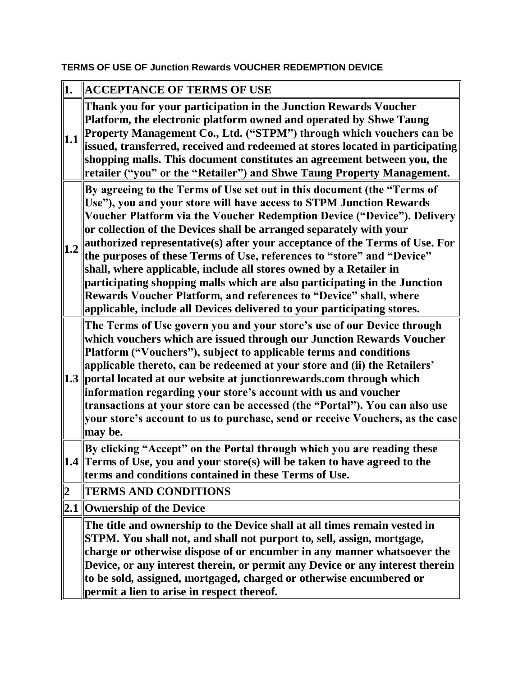## **TERMS OF USE OF Junction Rewards VOUCHER REDEMPTION DEVICE**

| 1.             | <b>ACCEPTANCE OF TERMS OF USE</b>                                                                                                                                                                                                                                                                                                                                                                                                                                                                                                                                                                                                                                                                                                                            |  |  |
|----------------|--------------------------------------------------------------------------------------------------------------------------------------------------------------------------------------------------------------------------------------------------------------------------------------------------------------------------------------------------------------------------------------------------------------------------------------------------------------------------------------------------------------------------------------------------------------------------------------------------------------------------------------------------------------------------------------------------------------------------------------------------------------|--|--|
| 1.1            | Thank you for your participation in the Junction Rewards Voucher<br>Platform, the electronic platform owned and operated by Shwe Taung<br>Property Management Co., Ltd. ("STPM") through which vouchers can be<br>issued, transferred, received and redeemed at stores located in participating<br>shopping malls. This document constitutes an agreement between you, the<br>retailer ("you" or the "Retailer") and Shwe Taung Property Management.                                                                                                                                                                                                                                                                                                         |  |  |
| 1.2            | By agreeing to the Terms of Use set out in this document (the "Terms of<br>Use"), you and your store will have access to STPM Junction Rewards<br>Voucher Platform via the Voucher Redemption Device ("Device"). Delivery<br>or collection of the Devices shall be arranged separately with your<br>authorized representative(s) after your acceptance of the Terms of Use. For<br>the purposes of these Terms of Use, references to "store" and "Device"<br>shall, where applicable, include all stores owned by a Retailer in<br>participating shopping malls which are also participating in the Junction<br>Rewards Voucher Platform, and references to "Device" shall, where<br>applicable, include all Devices delivered to your participating stores. |  |  |
|                | The Terms of Use govern you and your store's use of our Device through<br>which vouchers which are issued through our Junction Rewards Voucher<br>Platform ("Vouchers"), subject to applicable terms and conditions<br>applicable thereto, can be redeemed at your store and (ii) the Retailers'<br>1.3 portal located at our website at junction rewards.com through which<br>information regarding your store's account with us and voucher<br>transactions at your store can be accessed (the "Portal"). You can also use<br>your store's account to us to purchase, send or receive Vouchers, as the case<br>$\ $ may be.                                                                                                                                |  |  |
|                | By clicking "Accept" on the Portal through which you are reading these<br>1.4 Terms of Use, you and your store(s) will be taken to have agreed to the<br>terms and conditions contained in these Terms of Use.                                                                                                                                                                                                                                                                                                                                                                                                                                                                                                                                               |  |  |
| $\overline{2}$ | <b>TERMS AND CONDITIONS</b>                                                                                                                                                                                                                                                                                                                                                                                                                                                                                                                                                                                                                                                                                                                                  |  |  |
|                | 2.1 Ownership of the Device                                                                                                                                                                                                                                                                                                                                                                                                                                                                                                                                                                                                                                                                                                                                  |  |  |
|                | The title and ownership to the Device shall at all times remain vested in<br>STPM. You shall not, and shall not purport to, sell, assign, mortgage,<br>charge or otherwise dispose of or encumber in any manner whatsoever the<br>Device, or any interest therein, or permit any Device or any interest therein<br>to be sold, assigned, mortgaged, charged or otherwise encumbered or<br>permit a lien to arise in respect thereof.                                                                                                                                                                                                                                                                                                                         |  |  |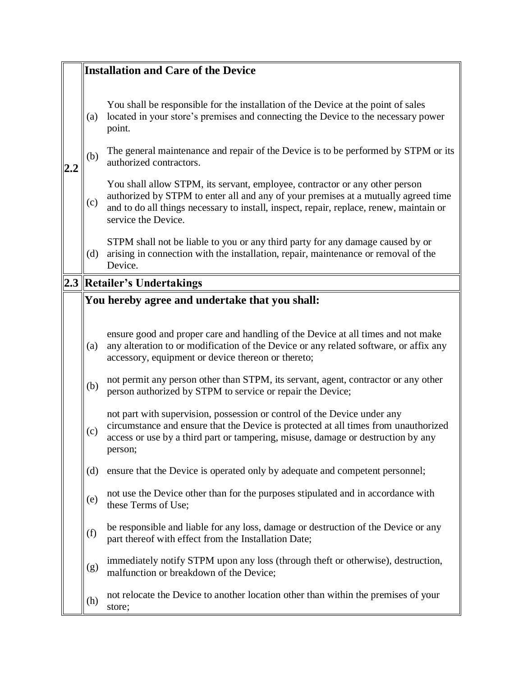|                                                | <b>Installation and Care of the Device</b>                                                                                                                                                                                                                                          |  |  |
|------------------------------------------------|-------------------------------------------------------------------------------------------------------------------------------------------------------------------------------------------------------------------------------------------------------------------------------------|--|--|
| (a)                                            | You shall be responsible for the installation of the Device at the point of sales<br>located in your store's premises and connecting the Device to the necessary power<br>point.                                                                                                    |  |  |
| (b)                                            | The general maintenance and repair of the Device is to be performed by STPM or its<br>authorized contractors.                                                                                                                                                                       |  |  |
| (c)                                            | You shall allow STPM, its servant, employee, contractor or any other person<br>authorized by STPM to enter all and any of your premises at a mutually agreed time<br>and to do all things necessary to install, inspect, repair, replace, renew, maintain or<br>service the Device. |  |  |
| (d)                                            | STPM shall not be liable to you or any third party for any damage caused by or<br>arising in connection with the installation, repair, maintenance or removal of the<br>Device.                                                                                                     |  |  |
|                                                | 2.3   Retailer's Undertakings                                                                                                                                                                                                                                                       |  |  |
| You hereby agree and undertake that you shall: |                                                                                                                                                                                                                                                                                     |  |  |
|                                                |                                                                                                                                                                                                                                                                                     |  |  |
| (a)                                            | ensure good and proper care and handling of the Device at all times and not make<br>any alteration to or modification of the Device or any related software, or affix any<br>accessory, equipment or device thereon or thereto;                                                     |  |  |
| (b)                                            | not permit any person other than STPM, its servant, agent, contractor or any other<br>person authorized by STPM to service or repair the Device;                                                                                                                                    |  |  |
| (c)                                            | not part with supervision, possession or control of the Device under any<br>circumstance and ensure that the Device is protected at all times from unauthorized<br>access or use by a third part or tampering, misuse, damage or destruction by any<br>person;                      |  |  |
| (d)                                            | ensure that the Device is operated only by adequate and competent personnel;                                                                                                                                                                                                        |  |  |
| (e)                                            | not use the Device other than for the purposes stipulated and in accordance with<br>these Terms of Use;                                                                                                                                                                             |  |  |
| (f)                                            | be responsible and liable for any loss, damage or destruction of the Device or any<br>part thereof with effect from the Installation Date;                                                                                                                                          |  |  |
| (g)                                            | immediately notify STPM upon any loss (through theft or otherwise), destruction,<br>malfunction or breakdown of the Device;                                                                                                                                                         |  |  |
| (h)                                            | not relocate the Device to another location other than within the premises of your<br>store;                                                                                                                                                                                        |  |  |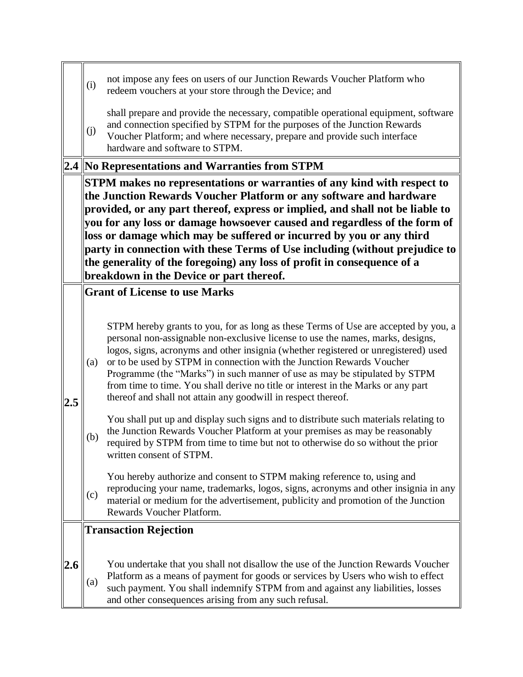|     | (i)                                                                                                                                                                                                                                                                                                                                                                                                                                                                                                                                                  | not impose any fees on users of our Junction Rewards Voucher Platform who<br>redeem vouchers at your store through the Device; and                                                                                                                                                                                                                                                                                                                                                                                                                                         |  |  |  |  |
|-----|------------------------------------------------------------------------------------------------------------------------------------------------------------------------------------------------------------------------------------------------------------------------------------------------------------------------------------------------------------------------------------------------------------------------------------------------------------------------------------------------------------------------------------------------------|----------------------------------------------------------------------------------------------------------------------------------------------------------------------------------------------------------------------------------------------------------------------------------------------------------------------------------------------------------------------------------------------------------------------------------------------------------------------------------------------------------------------------------------------------------------------------|--|--|--|--|
|     | (j)                                                                                                                                                                                                                                                                                                                                                                                                                                                                                                                                                  | shall prepare and provide the necessary, compatible operational equipment, software<br>and connection specified by STPM for the purposes of the Junction Rewards<br>Voucher Platform; and where necessary, prepare and provide such interface<br>hardware and software to STPM.                                                                                                                                                                                                                                                                                            |  |  |  |  |
|     |                                                                                                                                                                                                                                                                                                                                                                                                                                                                                                                                                      | 2.4 No Representations and Warranties from STPM                                                                                                                                                                                                                                                                                                                                                                                                                                                                                                                            |  |  |  |  |
|     | <b>STPM</b> makes no representations or warranties of any kind with respect to<br>the Junction Rewards Voucher Platform or any software and hardware<br>provided, or any part thereof, express or implied, and shall not be liable to<br>you for any loss or damage howsoever caused and regardless of the form of<br>loss or damage which may be suffered or incurred by you or any third<br>party in connection with these Terms of Use including (without prejudice to<br>the generality of the foregoing) any loss of profit in consequence of a |                                                                                                                                                                                                                                                                                                                                                                                                                                                                                                                                                                            |  |  |  |  |
|     | breakdown in the Device or part thereof.                                                                                                                                                                                                                                                                                                                                                                                                                                                                                                             |                                                                                                                                                                                                                                                                                                                                                                                                                                                                                                                                                                            |  |  |  |  |
|     |                                                                                                                                                                                                                                                                                                                                                                                                                                                                                                                                                      | <b>Grant of License to use Marks</b>                                                                                                                                                                                                                                                                                                                                                                                                                                                                                                                                       |  |  |  |  |
| 2.5 | (a)                                                                                                                                                                                                                                                                                                                                                                                                                                                                                                                                                  | STPM hereby grants to you, for as long as these Terms of Use are accepted by you, a<br>personal non-assignable non-exclusive license to use the names, marks, designs,<br>logos, signs, acronyms and other insignia (whether registered or unregistered) used<br>or to be used by STPM in connection with the Junction Rewards Voucher<br>Programme (the "Marks") in such manner of use as may be stipulated by STPM<br>from time to time. You shall derive no title or interest in the Marks or any part<br>thereof and shall not attain any goodwill in respect thereof. |  |  |  |  |
|     | (b)                                                                                                                                                                                                                                                                                                                                                                                                                                                                                                                                                  | You shall put up and display such signs and to distribute such materials relating to<br>the Junction Rewards Voucher Platform at your premises as may be reasonably<br>required by STPM from time to time but not to otherwise do so without the prior<br>written consent of STPM.                                                                                                                                                                                                                                                                                         |  |  |  |  |
|     | (c)                                                                                                                                                                                                                                                                                                                                                                                                                                                                                                                                                  | You hereby authorize and consent to STPM making reference to, using and<br>reproducing your name, trademarks, logos, signs, acronyms and other insignia in any<br>material or medium for the advertisement, publicity and promotion of the Junction<br>Rewards Voucher Platform.                                                                                                                                                                                                                                                                                           |  |  |  |  |
|     |                                                                                                                                                                                                                                                                                                                                                                                                                                                                                                                                                      | <b>Transaction Rejection</b>                                                                                                                                                                                                                                                                                                                                                                                                                                                                                                                                               |  |  |  |  |
| 2.6 | (a)                                                                                                                                                                                                                                                                                                                                                                                                                                                                                                                                                  | You undertake that you shall not disallow the use of the Junction Rewards Voucher<br>Platform as a means of payment for goods or services by Users who wish to effect<br>such payment. You shall indemnify STPM from and against any liabilities, losses<br>and other consequences arising from any such refusal.                                                                                                                                                                                                                                                          |  |  |  |  |